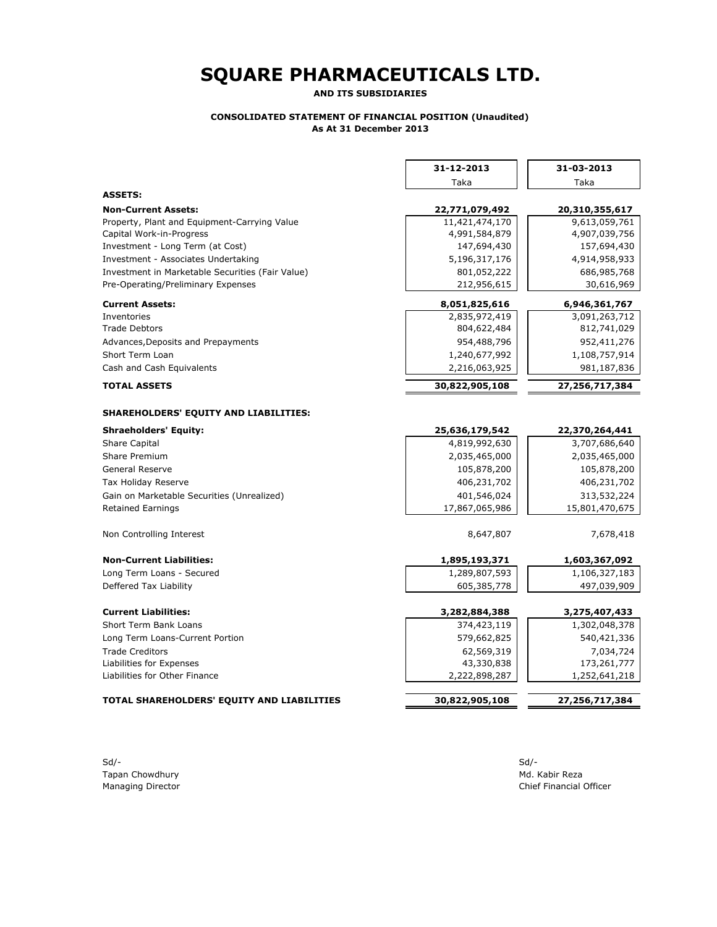**AND ITS SUBSIDIARIES**

#### **CONSOLIDATED STATEMENT OF FINANCIAL POSITION (Unaudited) As At 31 December 2013**

|                                                  | Taka           |                |  |
|--------------------------------------------------|----------------|----------------|--|
|                                                  |                | Taka           |  |
| <b>ASSETS:</b>                                   |                |                |  |
| <b>Non-Current Assets:</b>                       | 22,771,079,492 | 20,310,355,617 |  |
| Property, Plant and Equipment-Carrying Value     | 11,421,474,170 | 9,613,059,761  |  |
| Capital Work-in-Progress                         | 4,991,584,879  | 4,907,039,756  |  |
| Investment - Long Term (at Cost)                 | 147,694,430    | 157,694,430    |  |
| Investment - Associates Undertaking              | 5,196,317,176  | 4,914,958,933  |  |
| Investment in Marketable Securities (Fair Value) | 801,052,222    | 686,985,768    |  |
| Pre-Operating/Preliminary Expenses               | 212,956,615    | 30,616,969     |  |
| <b>Current Assets:</b>                           | 8,051,825,616  | 6,946,361,767  |  |
| Inventories                                      | 2,835,972,419  | 3,091,263,712  |  |
| <b>Trade Debtors</b>                             | 804,622,484    | 812,741,029    |  |
| Advances, Deposits and Prepayments               | 954,488,796    | 952,411,276    |  |
| Short Term Loan                                  | 1,240,677,992  | 1,108,757,914  |  |
| Cash and Cash Equivalents                        | 2,216,063,925  | 981,187,836    |  |
| <b>TOTAL ASSETS</b>                              | 30,822,905,108 | 27,256,717,384 |  |
| SHAREHOLDERS' EQUITY AND LIABILITIES:            |                |                |  |
| <b>Shraeholders' Equity:</b>                     | 25,636,179,542 | 22,370,264,441 |  |
| <b>Share Capital</b>                             | 4,819,992,630  | 3,707,686,640  |  |
| Share Premium                                    | 2,035,465,000  | 2,035,465,000  |  |
| <b>General Reserve</b>                           | 105,878,200    | 105,878,200    |  |
| Tax Holiday Reserve                              | 406,231,702    | 406,231,702    |  |
| Gain on Marketable Securities (Unrealized)       | 401,546,024    | 313,532,224    |  |
| <b>Retained Earnings</b>                         | 17,867,065,986 | 15,801,470,675 |  |
| Non Controlling Interest                         | 8,647,807      | 7,678,418      |  |
| <b>Non-Current Liabilities:</b>                  | 1,895,193,371  | 1,603,367,092  |  |
| Long Term Loans - Secured                        | 1,289,807,593  | 1,106,327,183  |  |
| Deffered Tax Liability                           | 605,385,778    | 497,039,909    |  |
| <b>Current Liabilities:</b>                      | 3,282,884,388  | 3,275,407,433  |  |
| Short Term Bank Loans                            | 374,423,119    | 1,302,048,378  |  |
| Long Term Loans-Current Portion                  | 579,662,825    | 540,421,336    |  |
| <b>Trade Creditors</b>                           | 62,569,319     | 7,034,724      |  |
| Liabilities for Expenses                         | 43,330,838     | 173,261,777    |  |
| Liabilities for Other Finance                    | 2,222,898,287  | 1,252,641,218  |  |
| TOTAL SHAREHOLDERS' EQUITY AND LIABILITIES       | 30,822,905,108 | 27,256,717,384 |  |

Sd/- Sd/- Tapan Chowdhury **Music Revenue Chowdhury** Music Reza

Managing Director Chief Financial Officer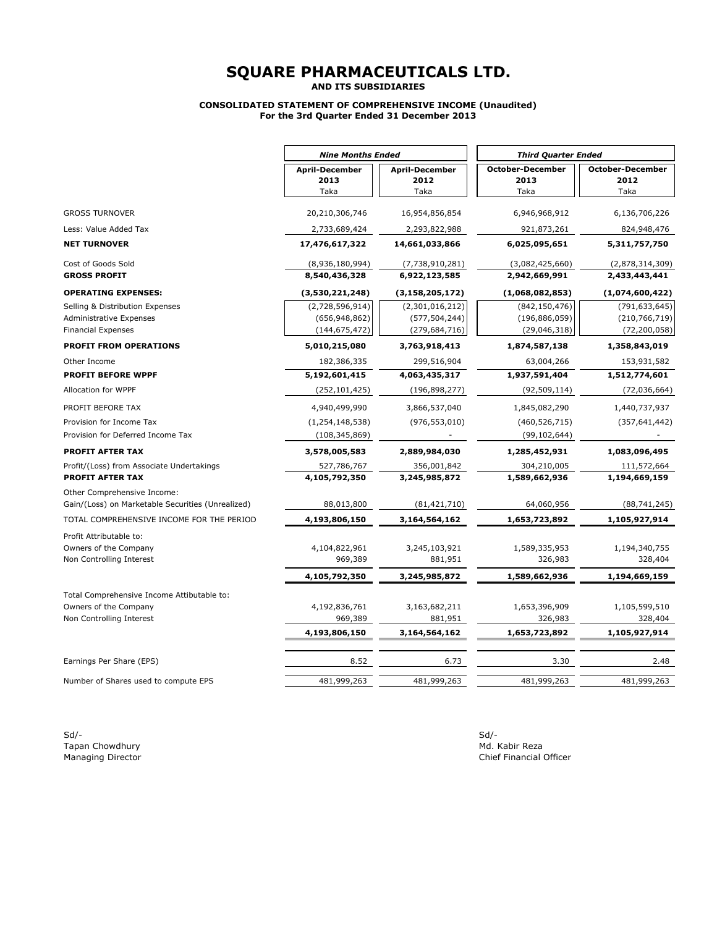**AND ITS SUBSIDIARIES**

#### **CONSOLIDATED STATEMENT OF COMPREHENSIVE INCOME (Unaudited) For the 3rd Quarter Ended 31 December 2013**

|                                                                                  | <b>Nine Months Ended</b>                  |                                           | <b>Third Quarter Ended</b>                |                                           |  |
|----------------------------------------------------------------------------------|-------------------------------------------|-------------------------------------------|-------------------------------------------|-------------------------------------------|--|
|                                                                                  | <b>April-December</b><br>2013<br>Taka     | <b>April-December</b><br>2012<br>Taka     | <b>October-December</b><br>2013<br>Taka   | <b>October-December</b><br>2012<br>Taka   |  |
| <b>GROSS TURNOVER</b>                                                            | 20,210,306,746                            | 16,954,856,854                            | 6,946,968,912                             | 6,136,706,226                             |  |
| Less: Value Added Tax                                                            | 2,733,689,424                             | 2,293,822,988                             | 921,873,261                               | 824,948,476                               |  |
| <b>NET TURNOVER</b>                                                              | 17,476,617,322                            | 14,661,033,866                            | 6,025,095,651                             | 5,311,757,750                             |  |
| Cost of Goods Sold                                                               | (8,936,180,994)                           | (7,738,910,281)                           | (3,082,425,660)                           | (2,878,314,309)                           |  |
| <b>GROSS PROFIT</b>                                                              | 8,540,436,328                             | 6,922,123,585                             | 2,942,669,991                             | 2,433,443,441                             |  |
| <b>OPERATING EXPENSES:</b>                                                       | (3,530,221,248)                           | (3, 158, 205, 172)                        | (1,068,082,853)                           | (1,074,600,422)                           |  |
| Selling & Distribution Expenses                                                  | (2,728,596,914)                           | (2,301,016,212)                           | (842, 150, 476)                           | (791, 633, 645)                           |  |
| <b>Administrative Expenses</b>                                                   | (656, 948, 862)                           | (577, 504, 244)                           | (196, 886, 059)                           | (210, 766, 719)                           |  |
| <b>Financial Expenses</b>                                                        | (144, 675, 472)                           | (279, 684, 716)                           | (29,046,318)                              | (72, 200, 058)                            |  |
| <b>PROFIT FROM OPERATIONS</b>                                                    | 5,010,215,080                             | 3,763,918,413                             | 1,874,587,138                             | 1,358,843,019                             |  |
| Other Income                                                                     | 182,386,335                               | 299,516,904                               | 63,004,266                                | 153,931,582                               |  |
| <b>PROFIT BEFORE WPPF</b>                                                        | 5,192,601,415                             | 4,063,435,317                             | 1,937,591,404                             | 1,512,774,601                             |  |
| Allocation for WPPF                                                              | (252, 101, 425)                           | (196, 898, 277)                           | (92, 509, 114)                            | (72,036,664)                              |  |
| PROFIT BEFORE TAX                                                                | 4,940,499,990                             | 3,866,537,040                             | 1,845,082,290                             | 1,440,737,937                             |  |
| Provision for Income Tax                                                         | (1, 254, 148, 538)                        | (976, 553, 010)                           | (460, 526, 715)                           | (357, 641, 442)                           |  |
| Provision for Deferred Income Tax                                                | (108, 345, 869)                           |                                           | (99, 102, 644)                            |                                           |  |
| <b>PROFIT AFTER TAX</b>                                                          | 3,578,005,583                             | 2,889,984,030                             | 1,285,452,931                             | 1,083,096,495                             |  |
| Profit/(Loss) from Associate Undertakings<br><b>PROFIT AFTER TAX</b>             | 527,786,767<br>4,105,792,350              | 356,001,842<br>3,245,985,872              | 304,210,005<br>1,589,662,936              | 111,572,664<br>1,194,669,159              |  |
| Other Comprehensive Income:<br>Gain/(Loss) on Marketable Securities (Unrealized) | 88,013,800                                | (81, 421, 710)                            | 64,060,956                                | (88, 741, 245)                            |  |
| TOTAL COMPREHENSIVE INCOME FOR THE PERIOD                                        | 4,193,806,150                             | 3,164,564,162                             | 1,653,723,892                             | 1,105,927,914                             |  |
| Profit Attributable to:<br>Owners of the Company<br>Non Controlling Interest     | 4,104,822,961<br>969,389<br>4,105,792,350 | 3,245,103,921<br>881,951<br>3,245,985,872 | 1,589,335,953<br>326,983<br>1,589,662,936 | 1,194,340,755<br>328,404<br>1,194,669,159 |  |
| Total Comprehensive Income Attibutable to:                                       |                                           |                                           |                                           |                                           |  |
| Owners of the Company                                                            | 4,192,836,761                             | 3,163,682,211                             | 1,653,396,909                             | 1,105,599,510                             |  |
| Non Controlling Interest                                                         | 969,389                                   | 881,951                                   | 326,983                                   | 328,404                                   |  |
|                                                                                  | 4,193,806,150                             | 3,164,564,162                             | 1,653,723,892                             | 1,105,927,914                             |  |
| Earnings Per Share (EPS)                                                         | 8.52                                      | 6.73                                      | 3.30                                      | 2.48                                      |  |
| Number of Shares used to compute EPS                                             | 481,999,263                               | 481,999,263                               | 481,999,263                               | 481,999,263                               |  |

Sd/- Sd/- Tapan Chowdhury **Multiplier and Chowdhury Chomos Chowdhury** Multiplier and Multiplier and Multiplier and Multiplier<br>Managing Director **Multiplier and Multiplier and Multiplier and Multiplier and Multiplier and Multiplier a**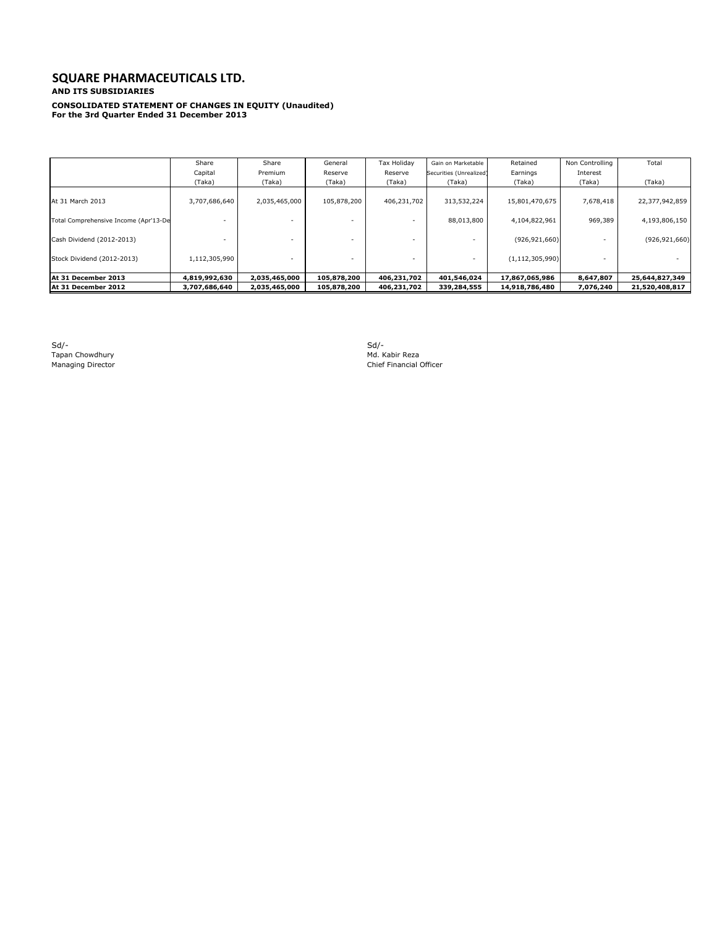#### **SQUARE PHARMACEUTICALS LTD. AND ITS SUBSIDIARIES**

**CONSOLIDATED STATEMENT OF CHANGES IN EQUITY (Unaudited) For the 3rd Quarter Ended 31 December 2013**

|                                       | Share         | Share         | General     | Tax Holiday | Gain on Marketable      | Retained           | Non Controlling | Total           |
|---------------------------------------|---------------|---------------|-------------|-------------|-------------------------|--------------------|-----------------|-----------------|
|                                       | Capital       | Premium       | Reserve     | Reserve     | Securities (Unrealized) | Earnings           | Interest        |                 |
|                                       | (Taka)        | (Taka)        | (Taka)      | (Taka)      | (Taka)                  | (Taka)             | (Taka)          | (Taka)          |
| At 31 March 2013                      | 3,707,686,640 | 2,035,465,000 | 105,878,200 | 406,231,702 | 313,532,224             | 15,801,470,675     | 7,678,418       | 22,377,942,859  |
| Total Comprehensive Income (Apr'13-De |               |               |             |             | 88,013,800              | 4,104,822,961      | 969,389         | 4,193,806,150   |
| Cash Dividend (2012-2013)             |               |               |             |             |                         | (926, 921, 660)    |                 | (926, 921, 660) |
| Stock Dividend (2012-2013)            | 1,112,305,990 |               |             |             |                         | (1, 112, 305, 990) |                 |                 |
| At 31 December 2013                   | 4,819,992,630 | 2,035,465,000 | 105,878,200 | 406,231,702 | 401,546,024             | 17,867,065,986     | 8,647,807       | 25,644,827,349  |
| At 31 December 2012                   | 3,707,686,640 | 2,035,465,000 | 105,878,200 | 406,231,702 | 339,284,555             | 14,918,786,480     | 7,076,240       | 21,520,408,817  |

Sd/- Sd/- Sd/-<br>Tapan Chowdhury Md. Kabir Reza<br>Managing Director Managing Director Md. Kabir Reza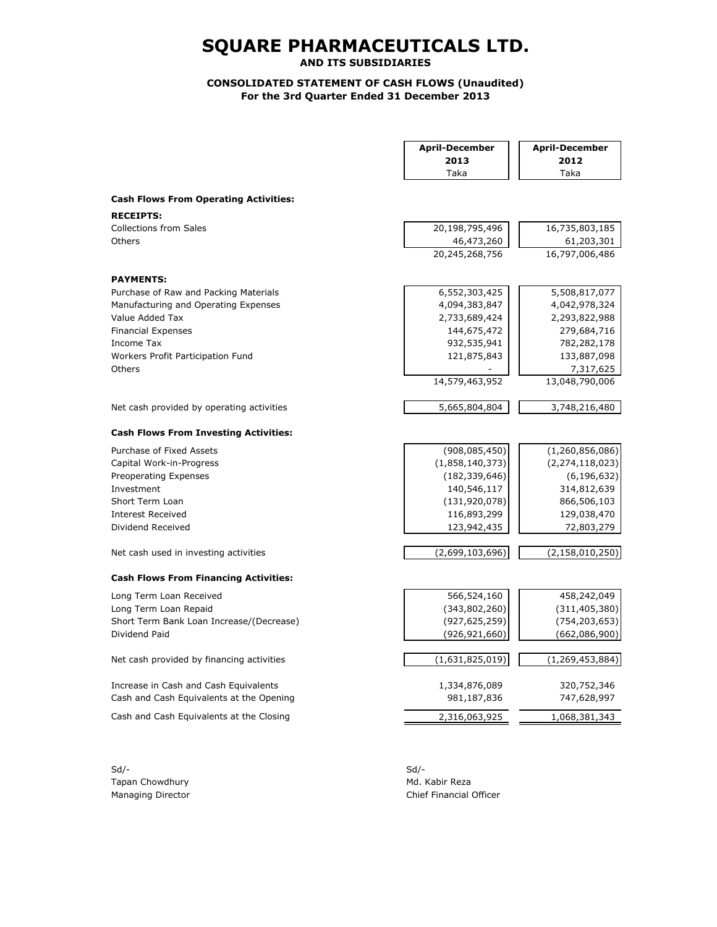**AND ITS SUBSIDIARIES**

### **CONSOLIDATED STATEMENT OF CASH FLOWS (Unaudited) For the 3rd Quarter Ended 31 December 2013**

|                                              | <b>April-December</b> | <b>April-December</b> |
|----------------------------------------------|-----------------------|-----------------------|
|                                              | 2013                  | 2012                  |
|                                              | Taka                  | Taka                  |
| <b>Cash Flows From Operating Activities:</b> |                       |                       |
| <b>RECEIPTS:</b>                             |                       |                       |
| <b>Collections from Sales</b>                | 20,198,795,496        | 16,735,803,185        |
| Others                                       | 46,473,260            | 61,203,301            |
|                                              | 20,245,268,756        | 16,797,006,486        |
| <b>PAYMENTS:</b>                             |                       |                       |
| Purchase of Raw and Packing Materials        | 6,552,303,425         | 5,508,817,077         |
| Manufacturing and Operating Expenses         | 4,094,383,847         | 4,042,978,324         |
| Value Added Tax                              | 2,733,689,424         | 2,293,822,988         |
| <b>Financial Expenses</b>                    | 144,675,472           | 279,684,716           |
| Income Tax                                   | 932,535,941           | 782,282,178           |
| Workers Profit Participation Fund            | 121,875,843           | 133,887,098           |
| Others                                       |                       | 7,317,625             |
|                                              | 14,579,463,952        | 13,048,790,006        |
| Net cash provided by operating activities    | 5,665,804,804         | 3,748,216,480         |
| <b>Cash Flows From Investing Activities:</b> |                       |                       |
| Purchase of Fixed Assets                     | (908, 085, 450)       | (1,260,856,086)       |
| Capital Work-in-Progress                     | (1,858,140,373)       | (2, 274, 118, 023)    |
| Preoperating Expenses                        | (182, 339, 646)       | (6, 196, 632)         |
| Investment                                   | 140,546,117           | 314,812,639           |
| Short Term Loan                              | (131, 920, 078)       | 866,506,103           |
| <b>Interest Received</b>                     | 116,893,299           | 129,038,470           |
| Dividend Received                            | 123,942,435           | 72,803,279            |
| Net cash used in investing activities        | (2,699,103,696)       | (2, 158, 010, 250)    |
| <b>Cash Flows From Financing Activities:</b> |                       |                       |
| Long Term Loan Received                      | 566,524,160           | 458,242,049           |
| Long Term Loan Repaid                        | (343,802,260)         | (311, 405, 380)       |
| Short Term Bank Loan Increase/(Decrease)     | (927, 625, 259)       | (754, 203, 653)       |
| Dividend Paid                                | (926, 921, 660)       | (662,086,900)         |
| Net cash provided by financing activities    | (1,631,825,019)       | (1, 269, 453, 884)    |
| Increase in Cash and Cash Equivalents        | 1,334,876,089         | 320,752,346           |
| Cash and Cash Equivalents at the Opening     | 981,187,836           | 747,628,997           |
| Cash and Cash Equivalents at the Closing     | 2,316,063,925         | 1,068,381,343         |
|                                              |                       |                       |

Sd/- Sd/- Tapan Chowdhury **Mathematic Community** Md. Kabir Reza

Managing Director **Chief Financial Officer** Chief Financial Officer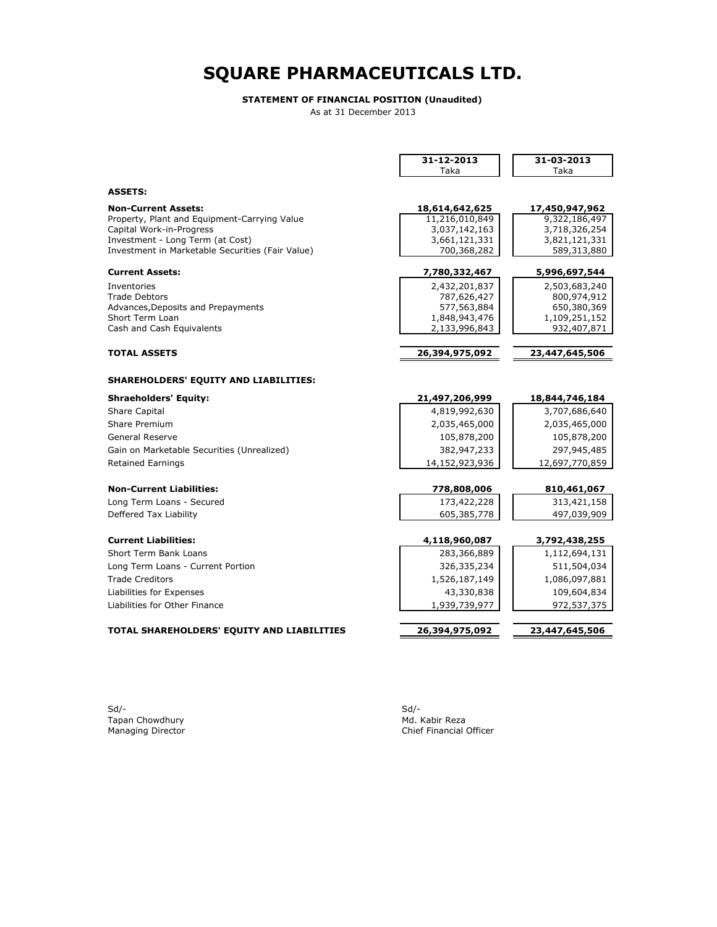#### **STATEMENT OF FINANCIAL POSITION (Unaudited)**

As at 31 December 2013

|                                                              | 31-12-2013                     | 31-03-2013                   |
|--------------------------------------------------------------|--------------------------------|------------------------------|
|                                                              | Taka                           | Taka                         |
| <b>ASSETS:</b>                                               |                                |                              |
|                                                              |                                |                              |
| <b>Non-Current Assets:</b>                                   | 18,614,642,625                 | 17,450,947,962               |
| Property, Plant and Equipment-Carrying Value                 | 11,216,010,849                 | 9,322,186,497                |
| Capital Work-in-Progress<br>Investment - Long Term (at Cost) | 3,037,142,163                  | 3,718,326,254                |
| Investment in Marketable Securities (Fair Value)             | 3,661,121,331<br>700,368,282   | 3,821,121,331<br>589,313,880 |
|                                                              |                                |                              |
| <b>Current Assets:</b>                                       | 7,780,332,467                  | 5,996,697,544                |
| Inventories                                                  | 2,432,201,837                  | 2,503,683,240                |
| <b>Trade Debtors</b>                                         | 787,626,427                    | 800,974,912                  |
| Advances, Deposits and Prepayments                           | 577,563,884                    | 650,380,369                  |
| Short Term Loan<br>Cash and Cash Equivalents                 | 1,848,943,476<br>2,133,996,843 | 1,109,251,152<br>932,407,871 |
|                                                              |                                |                              |
| <b>TOTAL ASSETS</b>                                          | 26,394,975,092                 | 23,447,645,506               |
|                                                              |                                |                              |
| SHAREHOLDERS' EQUITY AND LIABILITIES:                        |                                |                              |
| <b>Shraeholders' Equity:</b>                                 | 21,497,206,999                 | 18,844,746,184               |
| <b>Share Capital</b>                                         | 4,819,992,630                  | 3,707,686,640                |
| Share Premium                                                | 2,035,465,000                  | 2,035,465,000                |
| <b>General Reserve</b>                                       | 105,878,200                    | 105,878,200                  |
| Gain on Marketable Securities (Unrealized)                   | 382,947,233                    | 297,945,485                  |
| <b>Retained Earnings</b>                                     | 14,152,923,936                 | 12,697,770,859               |
|                                                              |                                |                              |
| <b>Non-Current Liabilities:</b>                              | 778,808,006                    | 810,461,067                  |
| Long Term Loans - Secured                                    | 173,422,228                    | 313,421,158                  |
| Deffered Tax Liability                                       | 605,385,778                    | 497,039,909                  |
|                                                              |                                |                              |
| <b>Current Liabilities:</b>                                  | 4,118,960,087                  | 3,792,438,255                |
| Short Term Bank Loans                                        | 283,366,889                    | 1,112,694,131                |
| Long Term Loans - Current Portion                            | 326,335,234                    | 511,504,034                  |
| <b>Trade Creditors</b>                                       | 1,526,187,149                  | 1,086,097,881                |
| Liabilities for Expenses                                     | 43,330,838                     | 109,604,834                  |
| Liabilities for Other Finance                                | 1,939,739,977                  | 972,537,375                  |
|                                                              |                                |                              |
| TOTAL SHAREHOLDERS' EQUITY AND LIABILITIES                   | 26,394,975,092                 | 23,447,645,506               |
|                                                              |                                |                              |
|                                                              |                                |                              |

Sd/- Sd/- Tapan Chowdhury Md. Kabir Reza

Sd/-<br>Md. Kabir Reza<br>Chief Financial Officer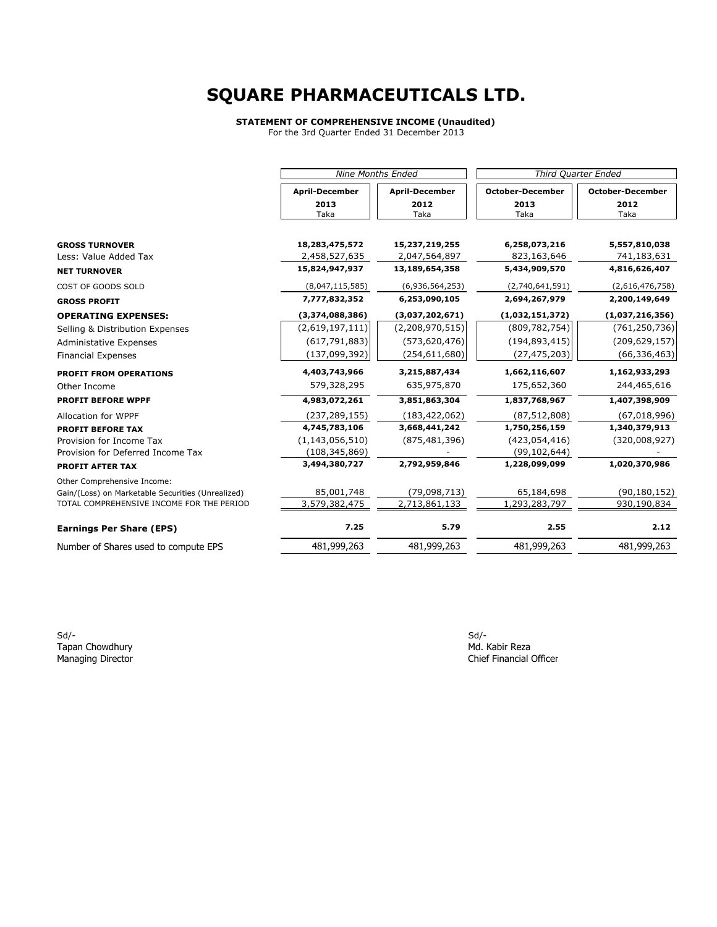#### **STATEMENT OF COMPREHENSIVE INCOME (Unaudited)**

For the 3rd Quarter Ended 31 December 2013

|                                                   | <b>Nine Months Ended</b>        |                                 | Third Quarter Ended          |                              |  |
|---------------------------------------------------|---------------------------------|---------------------------------|------------------------------|------------------------------|--|
|                                                   | <b>April-December</b>           | <b>April-December</b>           | <b>October-December</b>      | <b>October-December</b>      |  |
|                                                   | 2013<br>Taka                    | 2012<br>Taka                    | 2013<br>Taka                 | 2012<br>Taka                 |  |
|                                                   |                                 |                                 |                              |                              |  |
| <b>GROSS TURNOVER</b><br>Less: Value Added Tax    | 18,283,475,572<br>2,458,527,635 | 15,237,219,255<br>2,047,564,897 | 6,258,073,216<br>823,163,646 | 5,557,810,038<br>741,183,631 |  |
|                                                   | 15,824,947,937                  | 13,189,654,358                  | 5,434,909,570                | 4,816,626,407                |  |
| <b>NET TURNOVER</b>                               |                                 |                                 |                              |                              |  |
| COST OF GOODS SOLD                                | (8,047,115,585)                 | (6,936,564,253)                 | (2,740,641,591)              | (2,616,476,758)              |  |
| <b>GROSS PROFIT</b>                               | 7,777,832,352                   | 6,253,090,105                   | 2,694,267,979                | 2,200,149,649                |  |
| <b>OPERATING EXPENSES:</b>                        | (3,374,088,386)                 | (3,037,202,671)                 | (1,032,151,372)              | (1,037,216,356)              |  |
| Selling & Distribution Expenses                   | (2,619,197,111)                 | (2,208,970,515)                 | (809, 782, 754)              | (761, 250, 736)              |  |
| Administative Expenses                            | (617, 791, 883)                 | (573, 620, 476)                 | (194, 893, 415)              | (209, 629, 157)              |  |
| <b>Financial Expenses</b>                         | (137,099,392)                   | (254, 611, 680)                 | (27, 475, 203)               | (66, 336, 463)               |  |
| <b>PROFIT FROM OPERATIONS</b>                     | 4,403,743,966                   | 3,215,887,434                   | 1,662,116,607                | 1,162,933,293                |  |
| Other Income                                      | 579,328,295                     | 635,975,870                     | 175,652,360                  | 244,465,616                  |  |
| <b>PROFIT BEFORE WPPF</b>                         | 4,983,072,261                   | 3,851,863,304                   | 1,837,768,967                | 1,407,398,909                |  |
| Allocation for WPPF                               | (237, 289, 155)                 | (183, 422, 062)                 | (87, 512, 808)               | (67,018,996)                 |  |
| <b>PROFIT BEFORE TAX</b>                          | 4,745,783,106                   | 3,668,441,242                   | 1,750,256,159                | 1,340,379,913                |  |
| Provision for Income Tax                          | (1, 143, 056, 510)              | (875, 481, 396)                 | (423,054,416)                | (320,008,927)                |  |
| Provision for Deferred Income Tax                 | (108, 345, 869)                 |                                 | (99, 102, 644)               |                              |  |
| <b>PROFIT AFTER TAX</b>                           | 3,494,380,727                   | 2,792,959,846                   | 1,228,099,099                | 1,020,370,986                |  |
| Other Comprehensive Income:                       |                                 |                                 |                              |                              |  |
| Gain/(Loss) on Marketable Securities (Unrealized) | 85,001,748                      | (79,098,713)                    | 65,184,698                   | (90, 180, 152)               |  |
| TOTAL COMPREHENSIVE INCOME FOR THE PERIOD         | 3,579,382,475                   | 2,713,861,133                   | 1,293,283,797                | 930,190,834                  |  |
| <b>Earnings Per Share (EPS)</b>                   | 7.25                            | 5.79                            | 2.55                         | 2.12                         |  |
| Number of Shares used to compute EPS              | 481,999,263                     | 481,999,263                     | 481,999,263                  | 481,999,263                  |  |

Sd/- Sd/- Tapan Chowdhury **Music Chomos Chomos Chomos Chomos Chomos Chomos Chomos Chomos Chomos Chomos Chomos Chomos Chomos Chomos Chomos Chief Financial (<br>
Managing Director Chief Financial (Chief Financial (Chief Financial (Chief**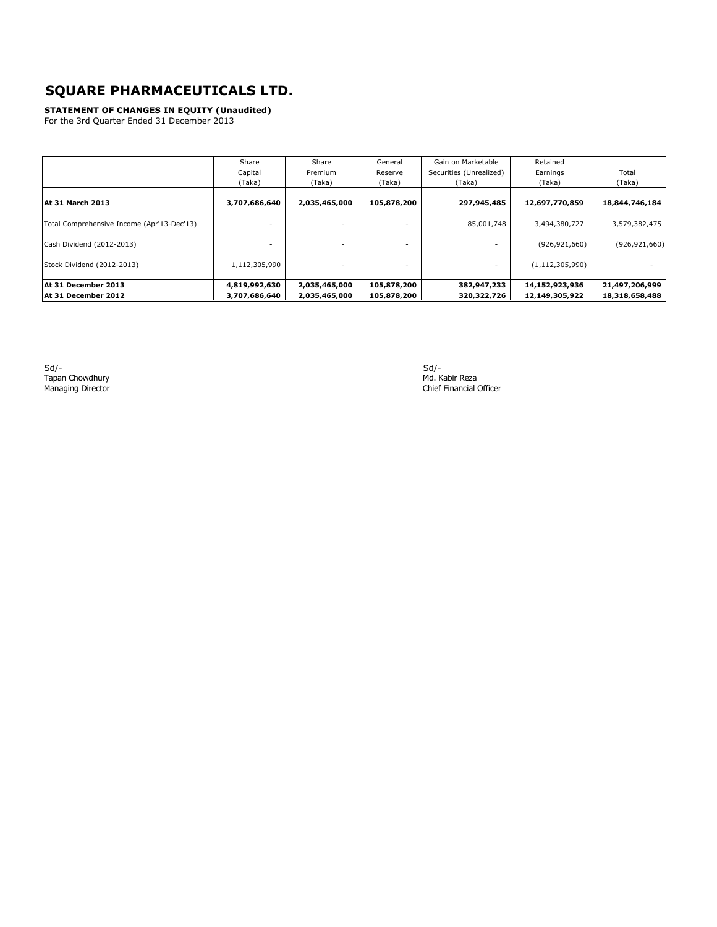**STATEMENT OF CHANGES IN EQUITY (Unaudited)**

For the 3rd Quarter Ended 31 December 2013

|                                            | Share         | Share         | General     | Gain on Marketable      | Retained           |                 |
|--------------------------------------------|---------------|---------------|-------------|-------------------------|--------------------|-----------------|
|                                            | Capital       | Premium       | Reserve     | Securities (Unrealized) | Earnings           | Total           |
|                                            | (Taka)        | (Taka)        | (Taka)      | (Taka)                  | (Taka)             | (Taka)          |
| At 31 March 2013                           | 3,707,686,640 | 2,035,465,000 | 105,878,200 | 297,945,485             | 12,697,770,859     | 18,844,746,184  |
| Total Comprehensive Income (Apr'13-Dec'13) |               |               |             | 85,001,748              | 3,494,380,727      | 3,579,382,475   |
| Cash Dividend (2012-2013)                  |               |               |             |                         | (926, 921, 660)    | (926, 921, 660) |
| Stock Dividend (2012-2013)                 | 1,112,305,990 |               |             | ٠                       | (1, 112, 305, 990) |                 |
| At 31 December 2013                        | 4,819,992,630 | 2,035,465,000 | 105,878,200 | 382,947,233             | 14,152,923,936     | 21,497,206,999  |
| At 31 December 2012                        | 3,707,686,640 | 2,035,465,000 | 105,878,200 | 320,322,726             | 12,149,305,922     | 18,318,658,488  |

Sd/- Sd/- Tapan Chowdhury Md. Kabir Reza